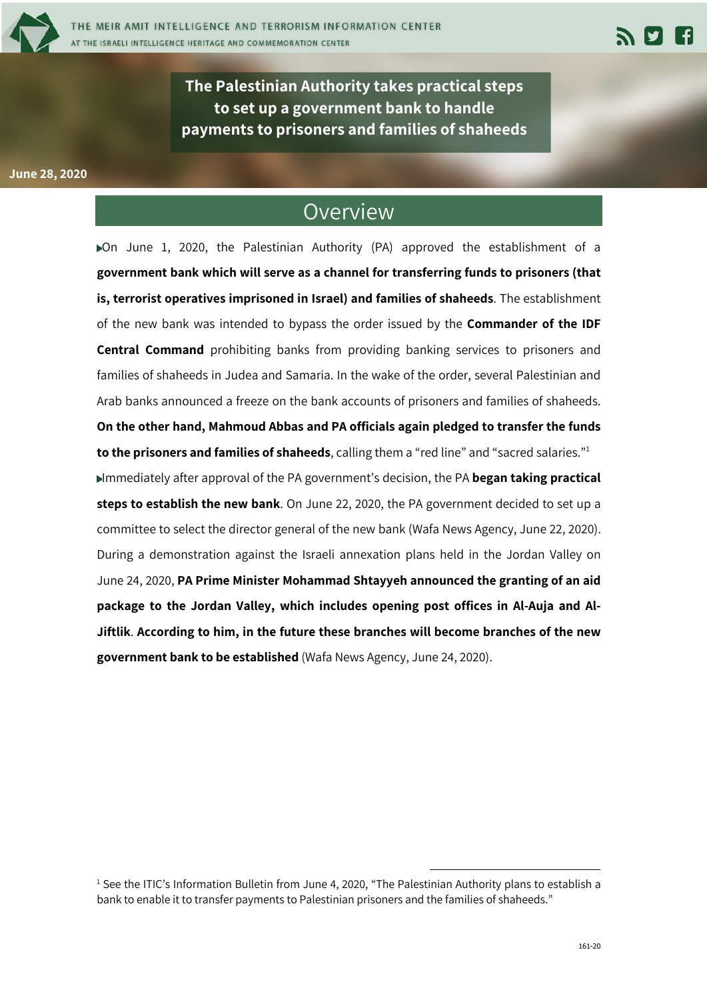

**The Palestinian Authority takes practical steps to set up a government bank to handle payments to prisoners and families of shaheeds** 

## **June 28, 2020**

## Overview

On June 1, 2020, the Palestinian Authority (PA) approved the establishment of a **government bank which will serve as a channel for transferring funds to prisoners (that is, terrorist operatives imprisoned in Israel) and families of shaheeds**. The establishment of the new bank was intended to bypass the order issued by the **Commander of the IDF Central Command** prohibiting banks from providing banking services to prisoners and families of shaheeds in Judea and Samaria. In the wake of the order, several Palestinian and Arab banks announced a freeze on the bank accounts of prisoners and families of shaheeds. **On the other hand, Mahmoud Abbas and PA officials again pledged to transfer the funds to the prisoners and families of shaheeds**, calling them a "red line" and "sacred salaries."1 Immediately after approval of the PA government's decision, the PA **began taking practical steps to establish the new bank**. On June 22, 2020, the PA government decided to set up a committee to select the director general of the new bank (Wafa News Agency, June 22, 2020). During a demonstration against the Israeli annexation plans held in the Jordan Valley on

June 24, 2020, **PA Prime Minister Mohammad Shtayyeh announced the granting of an aid package to the Jordan Valley, which includes opening post offices in Al-Auja and Al-Jiftlik**. **According to him, in the future these branches will become branches of the new government bank to be established** (Wafa News Agency, June 24, 2020).

<sup>&</sup>lt;sup>1</sup> See the ITIC's Information Bulletin from June 4, 2020, "The Palestinian Authority plans to establish a bank to enable it to transfer payments to Palestinian prisoners and the families of shaheeds."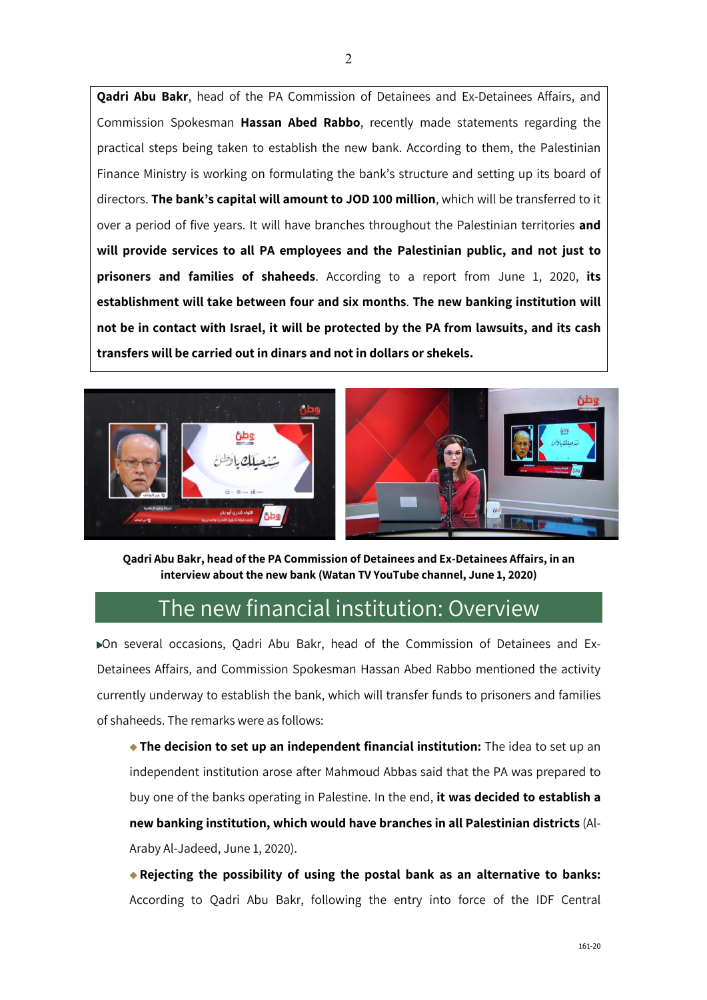**Qadri Abu Bakr**, head of the PA Commission of Detainees and Ex-Detainees Affairs, and Commission Spokesman **Hassan Abed Rabbo**, recently made statements regarding the practical steps being taken to establish the new bank. According to them, the Palestinian Finance Ministry is working on formulating the bank's structure and setting up its board of directors. **The bank's capital will amount to JOD 100 million**, which will be transferred to it over a period of five years. It will have branches throughout the Palestinian territories **and will provide services to all PA employees and the Palestinian public, and not just to prisoners and families of shaheeds**. According to a report from June 1, 2020, **its establishment will take between four and six months**. **The new banking institution will not be in contact with Israel, it will be protected by the PA from lawsuits, and its cash transfers will be carried out in dinars and not in dollars or shekels.**





**Qadri Abu Bakr, head of the PA Commission of Detainees and Ex-Detainees Affairs, in an interview about the new bank (Watan TV YouTube channel, June 1, 2020)**

## The new financial institution: Overview

On several occasions, Qadri Abu Bakr, head of the Commission of Detainees and Ex-Detainees Affairs, and Commission Spokesman Hassan Abed Rabbo mentioned the activity currently underway to establish the bank, which will transfer funds to prisoners and families of shaheeds. The remarks were as follows:

**The decision to set up an independent financial institution:** The idea to set up an independent institution arose after Mahmoud Abbas said that the PA was prepared to buy one of the banks operating in Palestine. In the end, **it was decided to establish a new banking institution, which would have branches in all Palestinian districts** (Al-Araby Al-Jadeed, June 1, 2020).

**Rejecting the possibility of using the postal bank as an alternative to banks:** According to Qadri Abu Bakr, following the entry into force of the IDF Central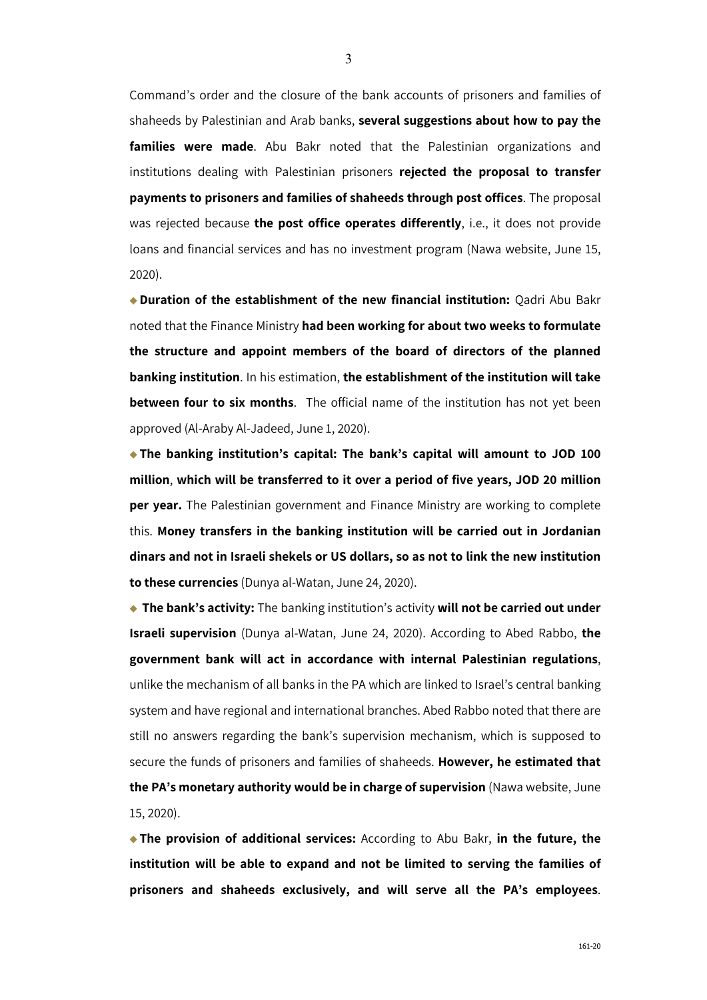Command's order and the closure of the bank accounts of prisoners and families of shaheeds by Palestinian and Arab banks, **several suggestions about how to pay the families were made**. Abu Bakr noted that the Palestinian organizations and institutions dealing with Palestinian prisoners **rejected the proposal to transfer payments to prisoners and families of shaheeds through post offices**. The proposal was rejected because **the post office operates differently**, i.e., it does not provide loans and financial services and has no investment program (Nawa website, June 15, 2020).

**Duration of the establishment of the new financial institution:** Qadri Abu Bakr noted that the Finance Ministry **had been working for about two weeks to formulate the structure and appoint members of the board of directors of the planned banking institution**. In his estimation, **the establishment of the institution will take between four to six months**. The official name of the institution has not yet been approved (Al-Araby Al-Jadeed, June 1, 2020).

**The banking institution's capital: The bank's capital will amount to JOD 100 million**, **which will be transferred to it over a period of five years, JOD 20 million per year.** The Palestinian government and Finance Ministry are working to complete this. **Money transfers in the banking institution will be carried out in Jordanian dinars and not in Israeli shekels or US dollars, so as not to link the new institution to these currencies** (Dunya al-Watan, June 24, 2020).

**The bank's activity:** The banking institution's activity **will not be carried out under Israeli supervision** (Dunya al-Watan, June 24, 2020). According to Abed Rabbo, **the government bank will act in accordance with internal Palestinian regulations**, unlike the mechanism of all banks in the PA which are linked to Israel's central banking system and have regional and international branches. Abed Rabbo noted that there are still no answers regarding the bank's supervision mechanism, which is supposed to secure the funds of prisoners and families of shaheeds. **However, he estimated that the PA's monetary authority would be in charge of supervision** (Nawa website, June 15, 2020).

**The provision of additional services:** According to Abu Bakr, **in the future, the institution will be able to expand and not be limited to serving the families of prisoners and shaheeds exclusively, and will serve all the PA's employees**.